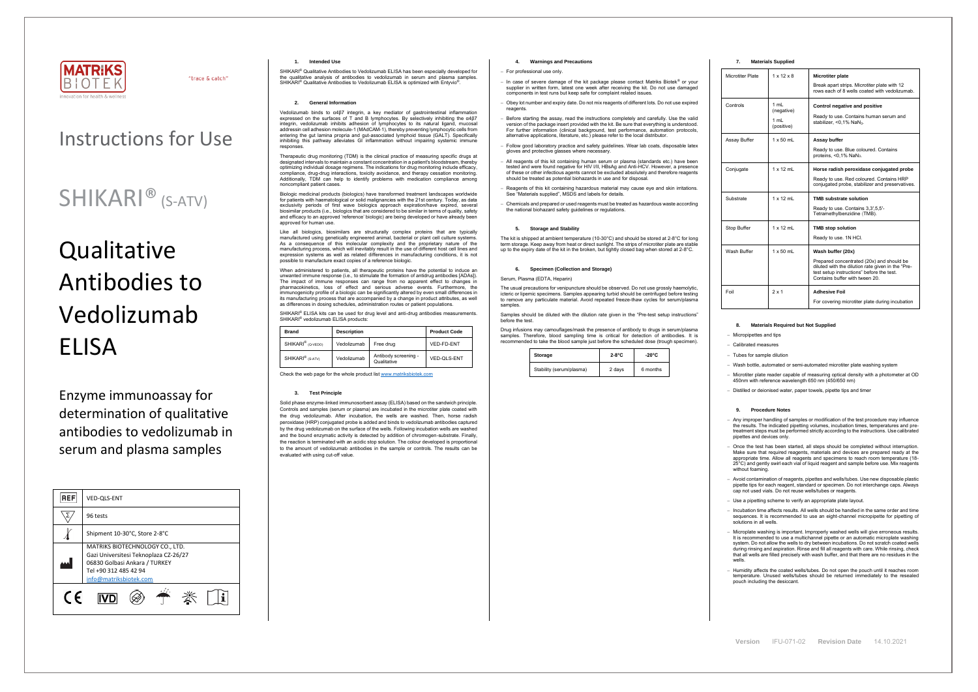

"trace & catch"

## Instructions for Use

# **Qualitative** Antibodies to Vedolizumab ELISA

## SHIKARI® (S-ATV)

Enzyme immunoassay for determination of qualitative antibodies to vedolizumab in serum and plasma samples

SHIKARI® Qualitative Antibodies to Vedolizumab ELISA has been especially developed for the qualitative analysis of antibodies to vedolizumab in serum and plasma samples. SHIKARI<sup>®</sup> Qualitative Antibodies to Vedolizumab ELISA is optimized with Entyvio<sup>®</sup>.

| <b>REF</b> | <b>VED-OLS-ENT</b>                                                                                                                                           |  |  |
|------------|--------------------------------------------------------------------------------------------------------------------------------------------------------------|--|--|
|            | 96 tests                                                                                                                                                     |  |  |
|            | Shipment 10-30°C, Store 2-8°C                                                                                                                                |  |  |
|            | MATRIKS BIOTECHNOLOGY CO., LTD.<br>Gazi Universitesi Teknoplaza CZ-26/27<br>06830 Golbasi Ankara / TURKEY<br>Tel +90 312 485 42 94<br>info@matriksbiotek.com |  |  |
| $\epsilon$ |                                                                                                                                                              |  |  |

## **1. Intended Use**

Vedolizumab binds to α4β7 integrin, a key mediator of gastrointestinal inflammatio expressed on the surfaces of T and B lymphocytes. By selectively inhibiting the α4β7 integrin, vedolizumab inhibits adhesion of lymphocytes to its natural ligand, mucosal addressin cell adhesion molecule-1 (MAdCAM-1), thereby preventing lymphocytic cells from entering the gut lamina propria and gut-associated lymphoid tissue (GALT). Specifically inhibiting this pathway alleviates GI inflammation without impairing systemic immune responses.

## **2. General Information**

Therapeutic drug monitoring (TDM) is the clinical practice of measuring specific drugs at designated intervals to maintain a constant concentration in a patient's bloodstream, thereby optimizing individual dosage regimens. The indications for drug monitoring include efficacy, compliance, drug-drug interactions, toxicity avoidance, and therapy cessation monitoring. Additionally, TDM can help to identify problems with medication compliance among noncompliant patient cases.

SHIKARI® ELISA kits can be used for drug level and anti-drug antibodies measurements. SHIKARI® vedolizumab ELISA products:

Biologic medicinal products (biologics) have transformed treatment landscapes worldwide for patients with haematological or solid malignancies with the 21st century. Today, as data exclusivity periods of first wave biologics approach expiration/have expired, several biosimilar products (i.e., biologics that are considered to be similar in terms of quality, safety and efficacy to an approved 'reference' biologic) are being developed or have already been approved for human use.

Like all biologics, biosimilars are structurally complex proteins that are typically manufactured using genetically engineered animal, bacterial or plant cell culture systems. As a consequence of this molecular complexity and the proprietary nature of the manufacturing process, which will inevitably result in the use of different host cell lines and expression systems as well as related differences in manufacturing conditions, it is not possible to manufacture exact copies of a reference biologic.

When administered to patients, all therapeutic proteins have the potential to induce an unwanted immune response (i.e., to stimulate the formation of antidrug antibodies [ADAs]). The impact of immune responses can range from no apparent effect to changes in pharmacokinetics, loss of effect and serious adverse events. Furthermore, the immunogenicity profile of a biologic can be significantly altered by even small differences in its manufacturing process that are accompanied by a change in product attributes, as well as differences in dosing schedules, administration routes or patient populations.

The usual precautions for venipuncture should be observed. Do not use grossly haemolytic, icteric or lipemic specimens. Samples appearing turbid should be centrifuged before testing to remove any particulate material. Avoid repeated freeze-thaw cycles for serum/plasma samples

| <b>Brand</b>                  | <b>Description</b> |                                     | <b>Product Code</b> |
|-------------------------------|--------------------|-------------------------------------|---------------------|
| SHIKARI <sup>®</sup> (Q-VEDO) | Vedolizumab        | Free drug                           | VED-FD-ENT          |
| SHIKARI <sup>®</sup> (S-ATV)  | Vedolizumab        | Antibody screening -<br>Qualitative | VED-QLS-ENT         |

Check the web page for the whole product lis[t www.matriksbiotek.com](http://www.matriksbiotek.com/)

## **3. Test Principle**

Solid phase enzyme-linked immunosorbent assay (ELISA) based on the sandwich principle. Controls and samples (serum or plasma) are incubated in the microtiter plate coated with the drug vedolizumab. After incubation, the wells are washed. Then, horse radish peroxidase (HRP) conjugated probe is added and binds to vedolizumab antibodies captured by the drug vedolizumab on the surface of the wells. Following incubation wells are washed and the bound enzymatic activity is detected by addition of chromogen-substrate. Finally, the reaction is terminated with an acidic stop solution. The colour developed is proportional to the amount of vedolizumab antibodies in the sample or controls. The results can be evaluated with using cut-off value.

− Once the test has been started, all steps should be completed without interruption. Make sure that required reagents, materials and devices are prepared ready at the appropriate time. Allow all reagents and specimens to reach room temperature (18- 25°C) and gently swirl each vial of liquid reagent and sample before use. Mix reagents  $with$  $out$  foaming

## **4. Warnings and Precautions**

#### − For professional use only.

- − In case of severe damage of the kit package please contact Matriks Biotek® or your supplier in written form, latest one week after receiving the kit. Do not use damaged components in test runs but keep safe for complaint related issues.
- − Obey lot number and expiry date. Do not mix reagents of different lots. Do not use expired reagents
- Before starting the assay, read the instructions completely and carefully. Use the valid version of the package insert provided with the kit. Be sure that everything is understood. For further information (clinical background, test performance, automation protocols, alternative applications, literature, etc.) please refer to the local distributor.
- − Follow good laboratory practice and safety guidelines. Wear lab coats, disposable latex gloves and protective glasses where necessary.
- − All reagents of this kit containing human serum or plasma (standards etc.) have been tested and were found negative for HIV I/II, HBsAg and Anti-HCV. However, a presence of these or other infectious agents cannot be excluded absolutely and therefore reagents should be treated as potential biohazards in use and for disposal.
- − Reagents of this kit containing hazardous material may cause eye and skin irritations. See "Materials supplied", MSDS and labels for details.
- − Chemicals and prepared or used reagents must be treated as hazardous waste according the national biohazard safety guidelines or regulations.

## **5. Storage and Stability**

The kit is shipped at ambient temperature (10-30°C) and should be stored at 2-8°C for long term storage. Keep away from heat or direct sunlight. The strips of microtiter plate are stable up to the expiry date of the kit in the broken, but tightly closed bag when stored at 2-8°C.

## **6. Specimen (Collection and Storage)**

#### Serum, Plasma (EDTA, Heparin)

Samples should be diluted with the dilution rate given in the "Pre-test setup instructions" before the test.

Drug infusions may camouflages/mask the presence of antibody to drugs in serum/plasma samples. Therefore, blood sampling time is critical for detection of antibodies. It is recommended to take the blood sample just before the scheduled dose (trough specimen).

| Storage                  | $2-8$ °C | $-20^{\circ}$ C |
|--------------------------|----------|-----------------|
| Stability (serum/plasma) | 2 days   | 6 months        |

## **7. Materials Supplied**

| Microtiter Plate | $1 \times 12 \times 8$                     | <b>Microtiter plate</b><br>Break apart strips. Microtiter plate with 12<br>rows each of 8 wells coated with vedolizumab.                                                                          |  |
|------------------|--------------------------------------------|---------------------------------------------------------------------------------------------------------------------------------------------------------------------------------------------------|--|
| Controls         | 1 $mL$<br>(negative)<br>1 mL<br>(positive) | Control negative and positive<br>Ready to use. Contains human serum and<br>stabilizer, $< 0.1\%$ NaN <sub>3</sub> .                                                                               |  |
| Assay Buffer     | $1 \times 50$ ml                           | Assay buffer<br>Ready to use. Blue coloured. Contains<br>proteins, $<$ 0,1% NaN <sub>3</sub> .                                                                                                    |  |
| Conjugate        | $1 \times 12$ mL                           | Horse radish peroxidase conjugated probe<br>Ready to use. Red coloured. Contains HRP<br>conjugated probe, stabilizer and preservatives.                                                           |  |
| Substrate        | $1 \times 12$ ml                           | <b>TMB substrate solution</b><br>Ready to use. Contains 3,3',5,5'-<br>Tetramethylbenzidine (TMB).                                                                                                 |  |
| Stop Buffer      | $1 \times 12$ mL                           | <b>TMB stop solution</b><br>Ready to use. 1N HCI.                                                                                                                                                 |  |
| Wash Buffer      | $1 \times 50$ mL                           | Wash buffer (20x)<br>Prepared concentrated (20x) and should be<br>diluted with the dilution rate given in the "Pre-<br>test setup instructions" before the test.<br>Contains buffer with tween 20 |  |
| Foil             | $2 \times 1$                               | <b>Adhesive Foil</b><br>For covering microtiter plate during incubation                                                                                                                           |  |

## **8. Materials Required but Not Supplied**

− Micropipettes and tips

− Calibrated measures

− Tubes for sample dilution

− Wash bottle, automated or semi-automated microtiter plate washing system

− Microtiter plate reader capable of measuring optical density with a photometer at OD 450nm with reference wavelength 650 nm (450/650 nm)

− Distilled or deionised water, paper towels, pipette tips and timer

## **9. Procedure Notes**

− Any improper handling of samples or modification of the test procedure may influence the results. The indicated pipetting volumes, incubation times, temperatures and pre-treatment steps must be performed strictly according to the instructions. Use calibrated pipettes and devices only.

− Avoid contamination of reagents, pipettes and wells/tubes. Use new disposable plastic pipette tips for each reagent, standard or specimen. Do not interchange caps. Always cap not used vials. Do not reuse wells/tubes or reagents.

− Use a pipetting scheme to verify an appropriate plate layout.

− Incubation time affects results. All wells should be handled in the same order and time sequences. It is recommended to use an eight-channel micropipette for pipetting of solutions in all wells.

− Microplate washing is important. Improperly washed wells will give erroneous results. It is recommended to use a multichannel pipette or an automatic microplate washing system. Do not allow the wells to dry between incubations. Do not scratch coated wells during rinsing and aspiration. Rinse and fill all reagents with care. While rinsing, check that all wells are filled precisely with wash buffer, and that there are no residues in the wells.

− Humidity affects the coated wells/tubes. Do not open the pouch until it reaches room temperature. Unused wells/tubes should be returned immediately to the resealed pouch including the desiccant.